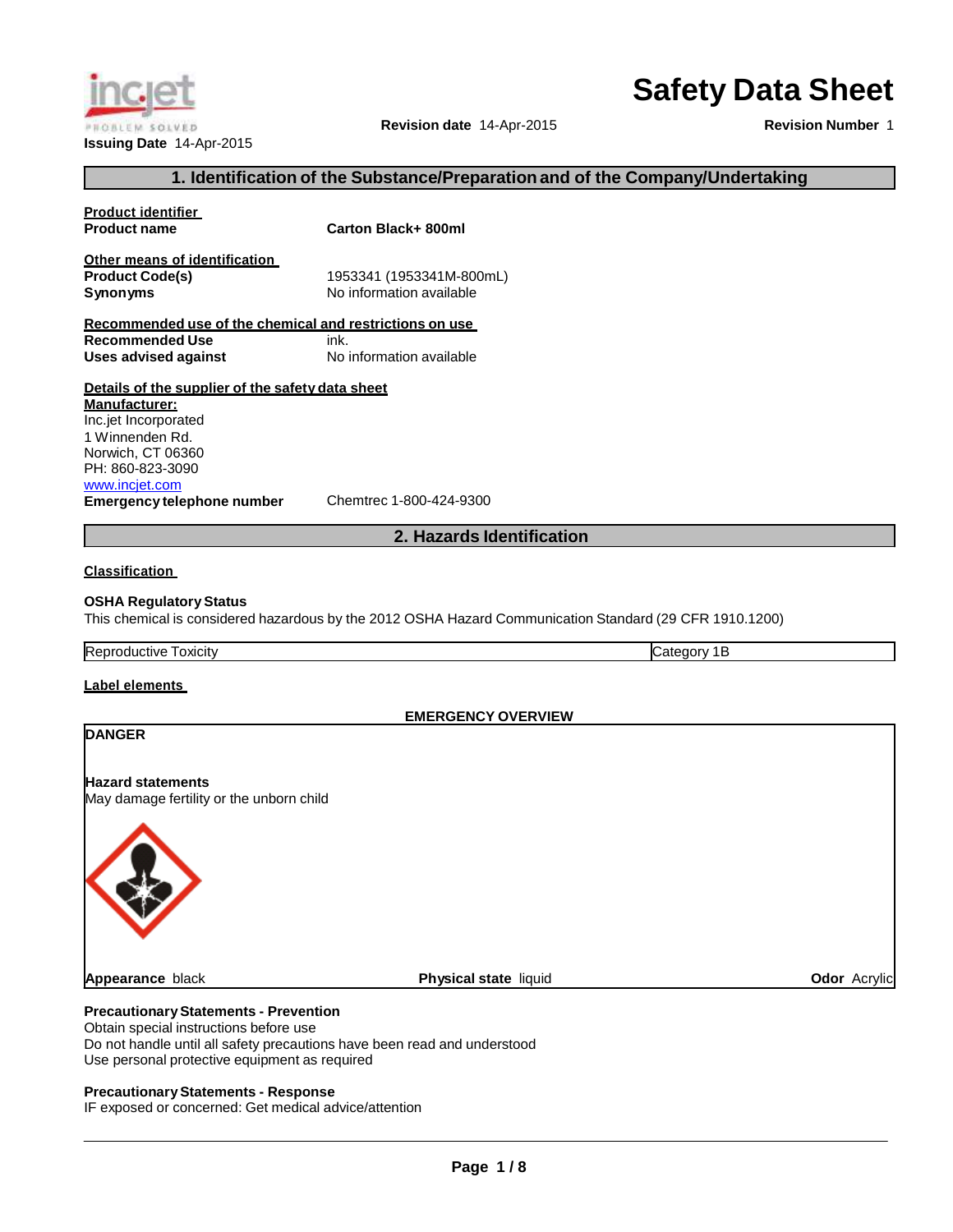# **Safety Data Sheet**

**Revision date** 14-Apr-2015

**Revision Number** 1

**Acrylic Ddor** Acrylic

## **1. Identification of the Substance/Preparationand of the Company/Undertaking**

| Product identifier                                      |                                                                                                         |  |  |
|---------------------------------------------------------|---------------------------------------------------------------------------------------------------------|--|--|
| <b>Product name</b>                                     | <b>Carton Black+ 800ml</b>                                                                              |  |  |
| Other means of identification                           |                                                                                                         |  |  |
| <b>Product Code(s)</b>                                  | 1953341 (1953341M-800mL)                                                                                |  |  |
| Synonyms                                                | No information available                                                                                |  |  |
|                                                         |                                                                                                         |  |  |
| Recommended use of the chemical and restrictions on use |                                                                                                         |  |  |
| <b>Recommended Use</b><br>ink.                          |                                                                                                         |  |  |
| <b>Uses advised against</b>                             | No information available                                                                                |  |  |
| Details of the supplier of the safety data sheet        |                                                                                                         |  |  |
| <u> Manufacturer:</u>                                   |                                                                                                         |  |  |
| Inc.jet Incorporated                                    |                                                                                                         |  |  |
| 1 Winnenden Rd.                                         |                                                                                                         |  |  |
| Norwich, CT 06360                                       |                                                                                                         |  |  |
| PH: 860-823-3090                                        |                                                                                                         |  |  |
| www.incjet.com                                          |                                                                                                         |  |  |
| <b>Emergency telephone number</b>                       | Chemtrec 1-800-424-9300                                                                                 |  |  |
|                                                         |                                                                                                         |  |  |
|                                                         | 2. Hazards Identification                                                                               |  |  |
|                                                         |                                                                                                         |  |  |
| <b>Classification</b>                                   |                                                                                                         |  |  |
|                                                         |                                                                                                         |  |  |
| OSHA Regulatory Status                                  |                                                                                                         |  |  |
|                                                         | This chemical is considered hazardous by the 2012 OSHA Hazard Communication Standard (29 CFR 1910.1200) |  |  |
| Reproductive Toxicity                                   | Category 1B                                                                                             |  |  |
|                                                         |                                                                                                         |  |  |
| <u>Label elements_</u>                                  |                                                                                                         |  |  |
|                                                         | <b>EMERGENCY OVERVIEW</b>                                                                               |  |  |
| <b>DANGER</b>                                           |                                                                                                         |  |  |
|                                                         |                                                                                                         |  |  |
|                                                         |                                                                                                         |  |  |
| <b>Hazard statements</b>                                |                                                                                                         |  |  |
| May damage fertility or the unborn child                |                                                                                                         |  |  |
|                                                         |                                                                                                         |  |  |
|                                                         |                                                                                                         |  |  |
|                                                         |                                                                                                         |  |  |
|                                                         |                                                                                                         |  |  |
|                                                         |                                                                                                         |  |  |
|                                                         |                                                                                                         |  |  |
|                                                         |                                                                                                         |  |  |
|                                                         |                                                                                                         |  |  |
|                                                         |                                                                                                         |  |  |
|                                                         |                                                                                                         |  |  |
| <b>Appearance</b> black                                 | <b>Physical state liquid</b>                                                                            |  |  |
|                                                         |                                                                                                         |  |  |

## **PrecautionaryStatements - Prevention**

Obtain special instructions before use Do not handle until all safety precautions have been read and understood Use personal protective equipment as required

#### **PrecautionaryStatements - Response**

IF exposed or concerned: Get medical advice/attention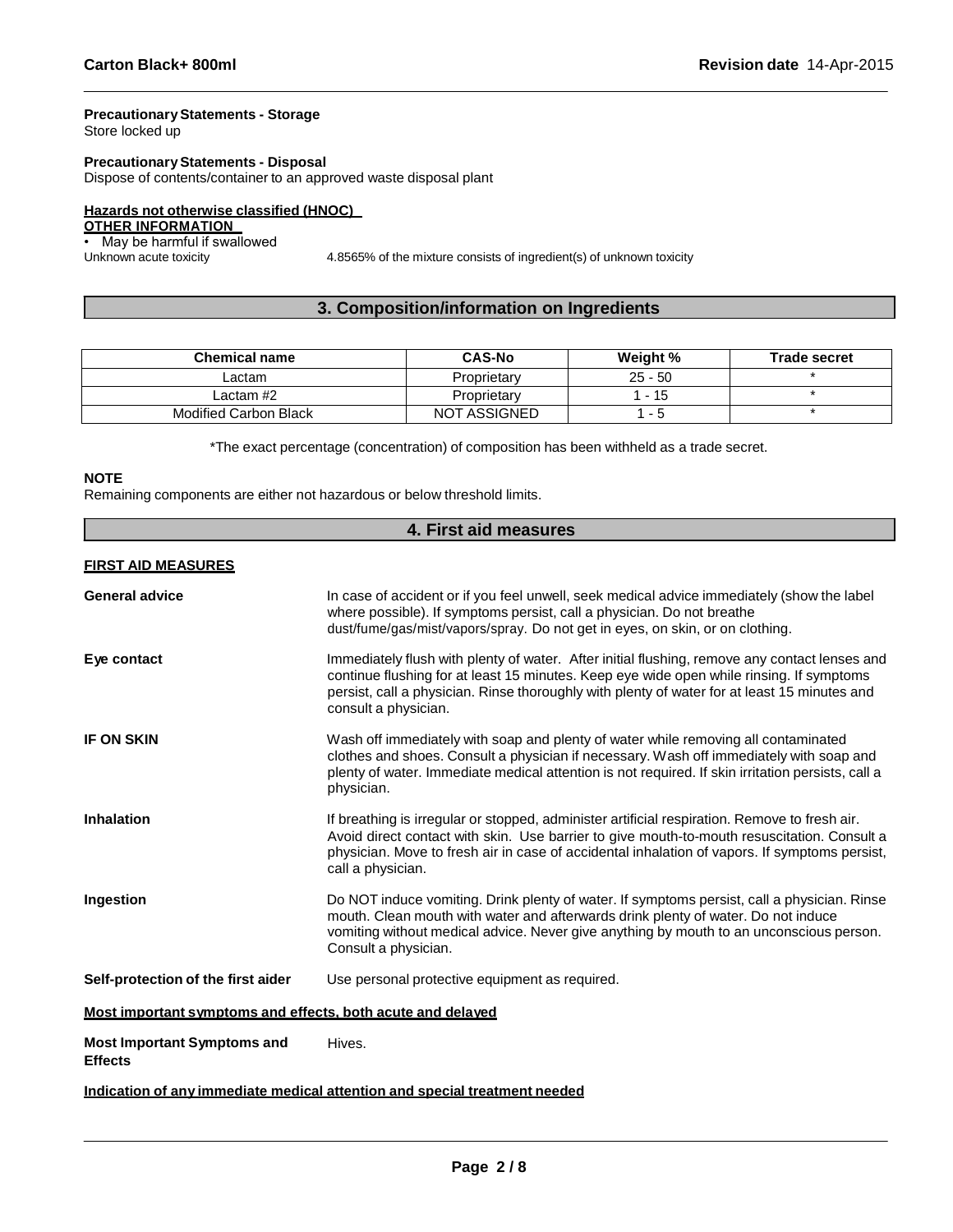## **PrecautionaryStatements - Storage**

Store locked up

## **PrecautionaryStatements - Disposal**

Dispose of contents/container to an approved waste disposal plant

## **Hazards not otherwise classified (HNOC)**

## **OTHER INFORMATION**

• May be harmful if swallowed<br>Unknown acute toxicity

4.8565% of the mixture consists of ingredient(s) of unknown toxicity

## **3. Composition/information on Ingredients**

| <b>Chemical name</b>  | <b>CAS-No</b>       | Weight %                 | <b>Trade secret</b> |
|-----------------------|---------------------|--------------------------|---------------------|
| Lactam                | Proprietary         | $25 - 50$                |                     |
| Lactam #2             | Proprietary         | l - 15                   |                     |
| Modified Carbon Black | <b>NOT ASSIGNED</b> | $\overline{\phantom{0}}$ |                     |

\*The exact percentage (concentration) of composition has been withheld as a trade secret.

## **NOTE**

Remaining components are either not hazardous or below threshold limits.

| 4. First aid measures                                                      |                                                                                                                                                                                                                                                                                                                    |  |
|----------------------------------------------------------------------------|--------------------------------------------------------------------------------------------------------------------------------------------------------------------------------------------------------------------------------------------------------------------------------------------------------------------|--|
| <b>FIRST AID MEASURES</b>                                                  |                                                                                                                                                                                                                                                                                                                    |  |
| <b>General advice</b>                                                      | In case of accident or if you feel unwell, seek medical advice immediately (show the label<br>where possible). If symptoms persist, call a physician. Do not breathe<br>dust/fume/gas/mist/vapors/spray. Do not get in eyes, on skin, or on clothing.                                                              |  |
| Eye contact                                                                | Immediately flush with plenty of water. After initial flushing, remove any contact lenses and<br>continue flushing for at least 15 minutes. Keep eye wide open while rinsing. If symptoms<br>persist, call a physician. Rinse thoroughly with plenty of water for at least 15 minutes and<br>consult a physician.  |  |
| <b>IF ON SKIN</b>                                                          | Wash off immediately with soap and plenty of water while removing all contaminated<br>clothes and shoes. Consult a physician if necessary. Wash off immediately with soap and<br>plenty of water. Immediate medical attention is not required. If skin irritation persists, call a<br>physician.                   |  |
| <b>Inhalation</b>                                                          | If breathing is irregular or stopped, administer artificial respiration. Remove to fresh air.<br>Avoid direct contact with skin. Use barrier to give mouth-to-mouth resuscitation. Consult a<br>physician. Move to fresh air in case of accidental inhalation of vapors. If symptoms persist,<br>call a physician. |  |
| Ingestion                                                                  | Do NOT induce vomiting. Drink plenty of water. If symptoms persist, call a physician. Rinse<br>mouth. Clean mouth with water and afterwards drink plenty of water. Do not induce<br>vomiting without medical advice. Never give anything by mouth to an unconscious person.<br>Consult a physician.                |  |
| Self-protection of the first aider                                         | Use personal protective equipment as required.                                                                                                                                                                                                                                                                     |  |
| Most important symptoms and effects, both acute and delayed                |                                                                                                                                                                                                                                                                                                                    |  |
| <b>Most Important Symptoms and</b><br><b>Effects</b>                       | Hives.                                                                                                                                                                                                                                                                                                             |  |
| Indication of any immediate medical attention and special treatment needed |                                                                                                                                                                                                                                                                                                                    |  |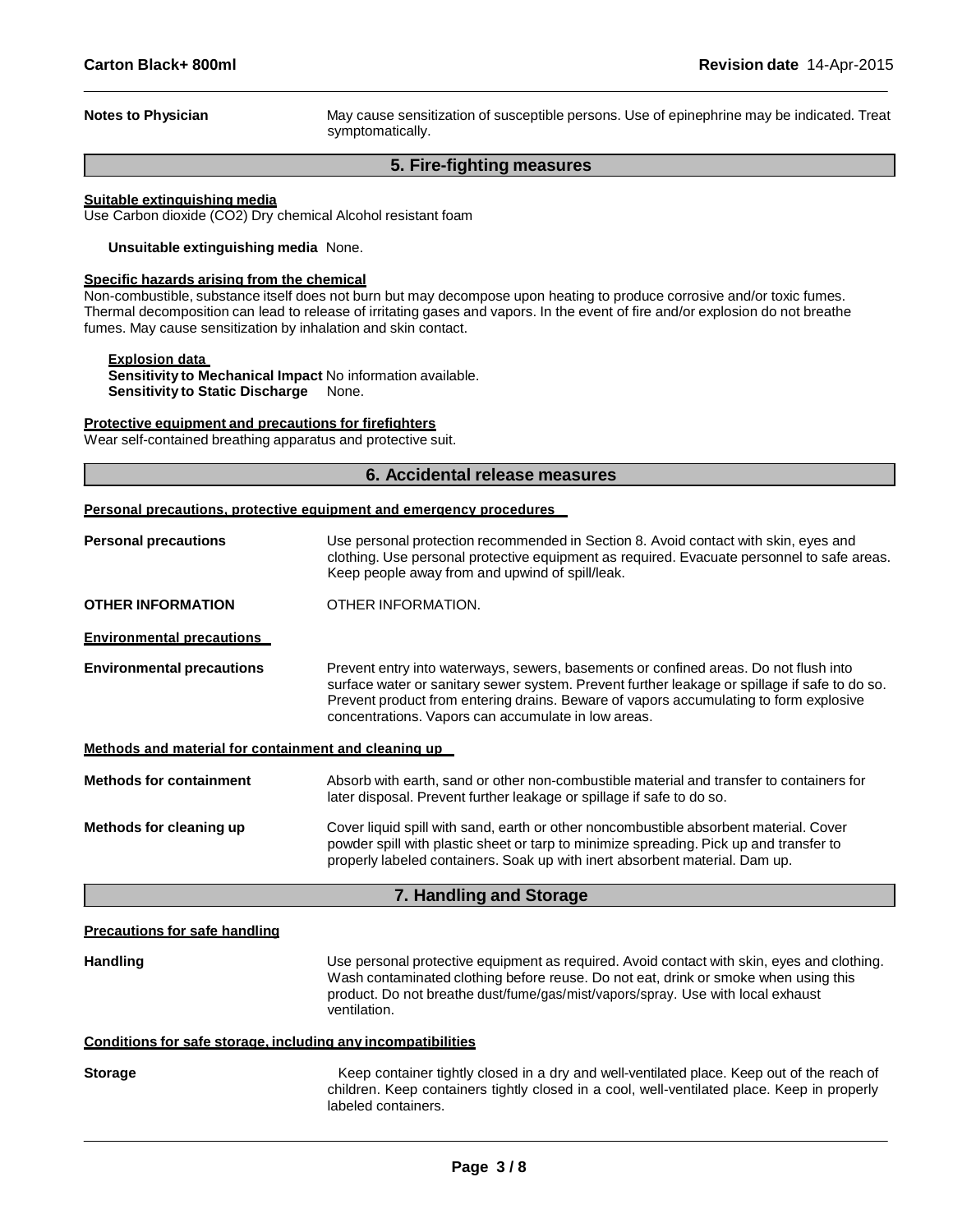**Notes to Physician** May cause sensitization of susceptible persons. Use of epinephrine may be indicated. Treat symptomatically.

## **5. Fire-fighting measures**

#### **Suitable extinguishing media**

Use Carbon dioxide (CO2) Dry chemical Alcohol resistant foam

**Unsuitable extinguishing media** None.

## **Specific hazards arising from the chemical**

Non-combustible, substance itself does not burn but may decompose upon heating to produce corrosive and/or toxic fumes. Thermal decomposition can lead to release of irritating gases and vapors. In the event of fire and/or explosion do not breathe fumes. May cause sensitization by inhalation and skin contact.

## **Explosion data**

**Sensitivity to Mechanical Impact** No information available. **Sensitivity to Static Discharge** None.

#### **Protective equipment and precautions for firefighters**

Wear self-contained breathing apparatus and protective suit.

## **6. Accidental release measures**

|  | Personal precautions, protective equipment and emergency procedures |
|--|---------------------------------------------------------------------|
|  |                                                                     |

| <b>Personal precautions</b>                                  | Use personal protection recommended in Section 8. Avoid contact with skin, eyes and<br>clothing. Use personal protective equipment as required. Evacuate personnel to safe areas.<br>Keep people away from and upwind of spill/leak.                                                                                                  |  |  |
|--------------------------------------------------------------|---------------------------------------------------------------------------------------------------------------------------------------------------------------------------------------------------------------------------------------------------------------------------------------------------------------------------------------|--|--|
| <b>OTHER INFORMATION</b>                                     | OTHER INFORMATION.                                                                                                                                                                                                                                                                                                                    |  |  |
| <b>Environmental precautions</b>                             |                                                                                                                                                                                                                                                                                                                                       |  |  |
| <b>Environmental precautions</b>                             | Prevent entry into waterways, sewers, basements or confined areas. Do not flush into<br>surface water or sanitary sewer system. Prevent further leakage or spillage if safe to do so.<br>Prevent product from entering drains. Beware of vapors accumulating to form explosive<br>concentrations. Vapors can accumulate in low areas. |  |  |
| Methods and material for containment and cleaning up         |                                                                                                                                                                                                                                                                                                                                       |  |  |
| <b>Methods for containment</b>                               | Absorb with earth, sand or other non-combustible material and transfer to containers for<br>later disposal. Prevent further leakage or spillage if safe to do so.                                                                                                                                                                     |  |  |
| Methods for cleaning up                                      | Cover liquid spill with sand, earth or other noncombustible absorbent material. Cover<br>powder spill with plastic sheet or tarp to minimize spreading. Pick up and transfer to<br>properly labeled containers. Soak up with inert absorbent material. Dam up.                                                                        |  |  |
|                                                              | 7. Handling and Storage                                                                                                                                                                                                                                                                                                               |  |  |
| <b>Precautions for safe handling</b>                         |                                                                                                                                                                                                                                                                                                                                       |  |  |
| <b>Handling</b>                                              | Use personal protective equipment as required. Avoid contact with skin, eyes and clothing.<br>Wash contaminated clothing before reuse. Do not eat, drink or smoke when using this<br>product. Do not breathe dust/fume/gas/mist/vapors/spray. Use with local exhaust<br>ventilation.                                                  |  |  |
| Conditions for safe storage, including any incompatibilities |                                                                                                                                                                                                                                                                                                                                       |  |  |
| <b>Storage</b>                                               | Keep container tightly closed in a dry and well-ventilated place. Keep out of the reach of<br>children. Keep containers tightly closed in a cool, well-ventilated place. Keep in properly<br>labeled containers.                                                                                                                      |  |  |
|                                                              |                                                                                                                                                                                                                                                                                                                                       |  |  |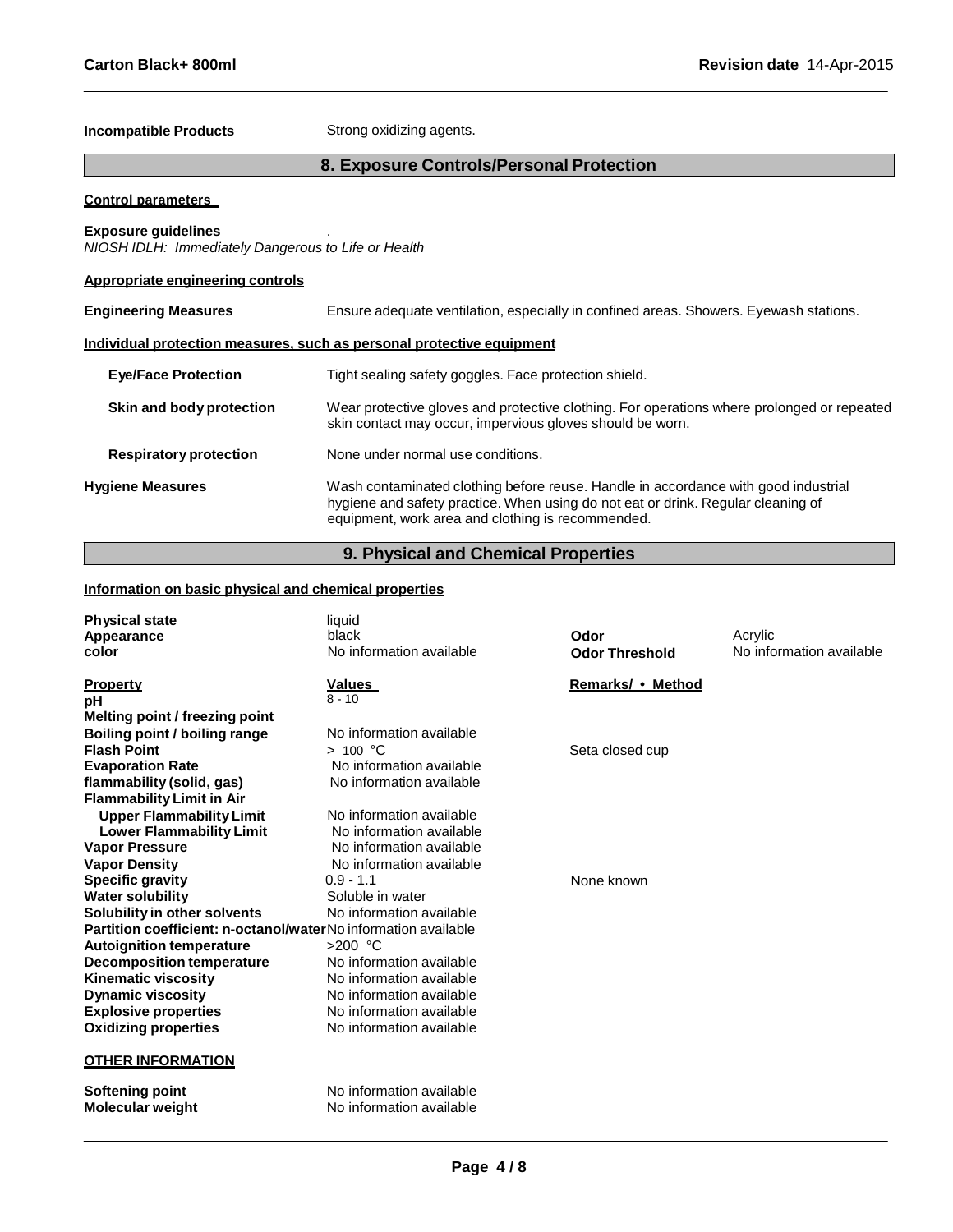## **Incompatible Products** Strong oxidizing agents.

## **8. Exposure Controls/Personal Protection**

### **Control parameters**

## **Exposure guidelines** .

*NIOSH IDLH: Immediately Dangerous to Life or Health*

## **Appropriate engineering controls**

| <b>Engineering Measures</b>   | Ensure adequate ventilation, especially in confined areas. Showers. Eyewash stations.                                                                                                                                       |  |  |
|-------------------------------|-----------------------------------------------------------------------------------------------------------------------------------------------------------------------------------------------------------------------------|--|--|
|                               | Individual protection measures, such as personal protective equipment                                                                                                                                                       |  |  |
| <b>Eye/Face Protection</b>    | Tight sealing safety goggles. Face protection shield.                                                                                                                                                                       |  |  |
| Skin and body protection      | Wear protective gloves and protective clothing. For operations where prolonged or repeated<br>skin contact may occur, impervious gloves should be worn.                                                                     |  |  |
| <b>Respiratory protection</b> | None under normal use conditions.                                                                                                                                                                                           |  |  |
| <b>Hygiene Measures</b>       | Wash contaminated clothing before reuse. Handle in accordance with good industrial<br>hygiene and safety practice. When using do not eat or drink. Regular cleaning of<br>equipment, work area and clothing is recommended. |  |  |

## **9. Physical and Chemical Properties**

## **Information on basic physical and chemical properties**

| <b>Physical state</b><br>Appearance<br>color                   | liquid<br>black<br>No information available          | Odor<br><b>Odor Threshold</b> | Acrylic<br>No information available |
|----------------------------------------------------------------|------------------------------------------------------|-------------------------------|-------------------------------------|
| <b>Property</b>                                                | <u>Values</u><br>$8 - 10$                            | Remarks/ • Method             |                                     |
| рH<br>Melting point / freezing point                           |                                                      |                               |                                     |
| Boiling point / boiling range                                  | No information available                             |                               |                                     |
| <b>Flash Point</b>                                             | > 100 °C                                             | Seta closed cup               |                                     |
| <b>Evaporation Rate</b>                                        | No information available                             |                               |                                     |
| flammability (solid, gas)                                      | No information available                             |                               |                                     |
| <b>Flammability Limit in Air</b>                               |                                                      |                               |                                     |
| <b>Upper Flammability Limit</b>                                | No information available                             |                               |                                     |
| <b>Lower Flammability Limit</b>                                | No information available                             |                               |                                     |
| <b>Vapor Pressure</b>                                          | No information available                             |                               |                                     |
| <b>Vapor Density</b>                                           | No information available                             |                               |                                     |
| <b>Specific gravity</b>                                        | $0.9 - 1.1$                                          | None known                    |                                     |
| <b>Water solubility</b>                                        | Soluble in water                                     |                               |                                     |
| Solubility in other solvents                                   | No information available                             |                               |                                     |
| Partition coefficient: n-octanol/waterNo information available |                                                      |                               |                                     |
| <b>Autoignition temperature</b>                                | $>200$ °C                                            |                               |                                     |
| <b>Decomposition temperature</b>                               | No information available                             |                               |                                     |
| <b>Kinematic viscosity</b>                                     | No information available                             |                               |                                     |
| <b>Dynamic viscosity</b>                                       | No information available                             |                               |                                     |
| <b>Explosive properties</b>                                    | No information available                             |                               |                                     |
| <b>Oxidizing properties</b>                                    | No information available                             |                               |                                     |
| <b>OTHER INFORMATION</b>                                       |                                                      |                               |                                     |
| Softening point<br><b>Molecular weight</b>                     | No information available<br>No information available |                               |                                     |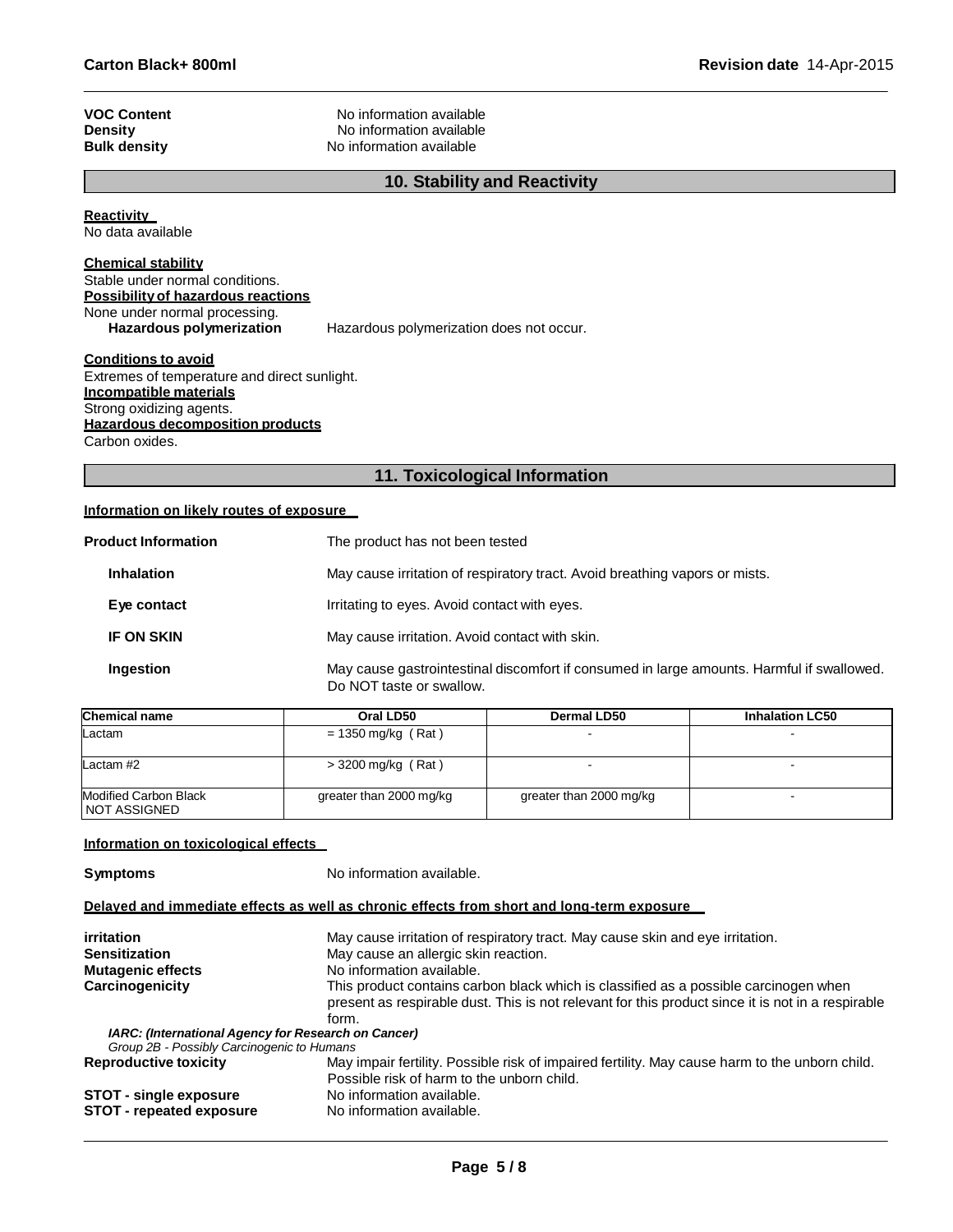| No information available<br>No information available<br>No information available |  |
|----------------------------------------------------------------------------------|--|

**Reactivity** 

No data available

## **Chemical stability**

| Stable under normal conditions.    |                                          |
|------------------------------------|------------------------------------------|
| Possibility of hazardous reactions |                                          |
| None under normal processing.      |                                          |
| Hazardous polymerization           | Hazardous polymerization does not occur. |

### **Conditions to avoid**

Extremes of temperature and direct sunlight. **Incompatible materials** Strong oxidizing agents. **Hazardous decomposition products**

Carbon oxides.

## **11. Toxicological Information**

## **Information on likely routes of exposure**

| <b>Product Information</b> | The product has not been tested                                                                                       |  |
|----------------------------|-----------------------------------------------------------------------------------------------------------------------|--|
| <b>Inhalation</b>          | May cause irritation of respiratory tract. Avoid breathing vapors or mists.                                           |  |
| Eye contact                | Irritating to eyes. Avoid contact with eyes.                                                                          |  |
| <b>IF ON SKIN</b>          | May cause irritation. Avoid contact with skin.                                                                        |  |
| Ingestion                  | May cause gastrointestinal discomfort if consumed in large amounts. Harmful if swallowed.<br>Do NOT taste or swallow. |  |

| <b>Chemical name</b>                    | Oral LD50               | Dermal LD50             | <b>Inhalation LC50</b> |
|-----------------------------------------|-------------------------|-------------------------|------------------------|
| Lactam                                  | $= 1350$ mg/kg (Rat)    |                         |                        |
| Lactam $#2$                             | $>$ 3200 mg/kg (Rat)    |                         |                        |
| Modified Carbon Black<br>I NOT ASSIGNED | greater than 2000 mg/kg | greater than 2000 mg/kg |                        |

## **Information on toxicological effects**

**Symptoms** No information available.

## **Delayed and immediate effects as well as chronic effects from short and long-term exposure**

| irritation                                                 | May cause irritation of respiratory tract. May cause skin and eye irritation.                                                                                                             |  |  |
|------------------------------------------------------------|-------------------------------------------------------------------------------------------------------------------------------------------------------------------------------------------|--|--|
| <b>Sensitization</b>                                       | May cause an allergic skin reaction.                                                                                                                                                      |  |  |
| <b>Mutagenic effects</b>                                   | No information available.                                                                                                                                                                 |  |  |
| Carcinogenicity                                            | This product contains carbon black which is classified as a possible carcinogen when<br>present as respirable dust. This is not relevant for this product since it is not in a respirable |  |  |
|                                                            | form.                                                                                                                                                                                     |  |  |
| <b>IARC: (International Agency for Research on Cancer)</b> |                                                                                                                                                                                           |  |  |
| Group 2B - Possibly Carcinogenic to Humans                 |                                                                                                                                                                                           |  |  |
| <b>Reproductive toxicity</b>                               | May impair fertility. Possible risk of impaired fertility. May cause harm to the unborn child.                                                                                            |  |  |
|                                                            | Possible risk of harm to the unborn child.                                                                                                                                                |  |  |
| <b>STOT - single exposure</b>                              | No information available.                                                                                                                                                                 |  |  |
| <b>STOT - repeated exposure</b>                            | No information available.                                                                                                                                                                 |  |  |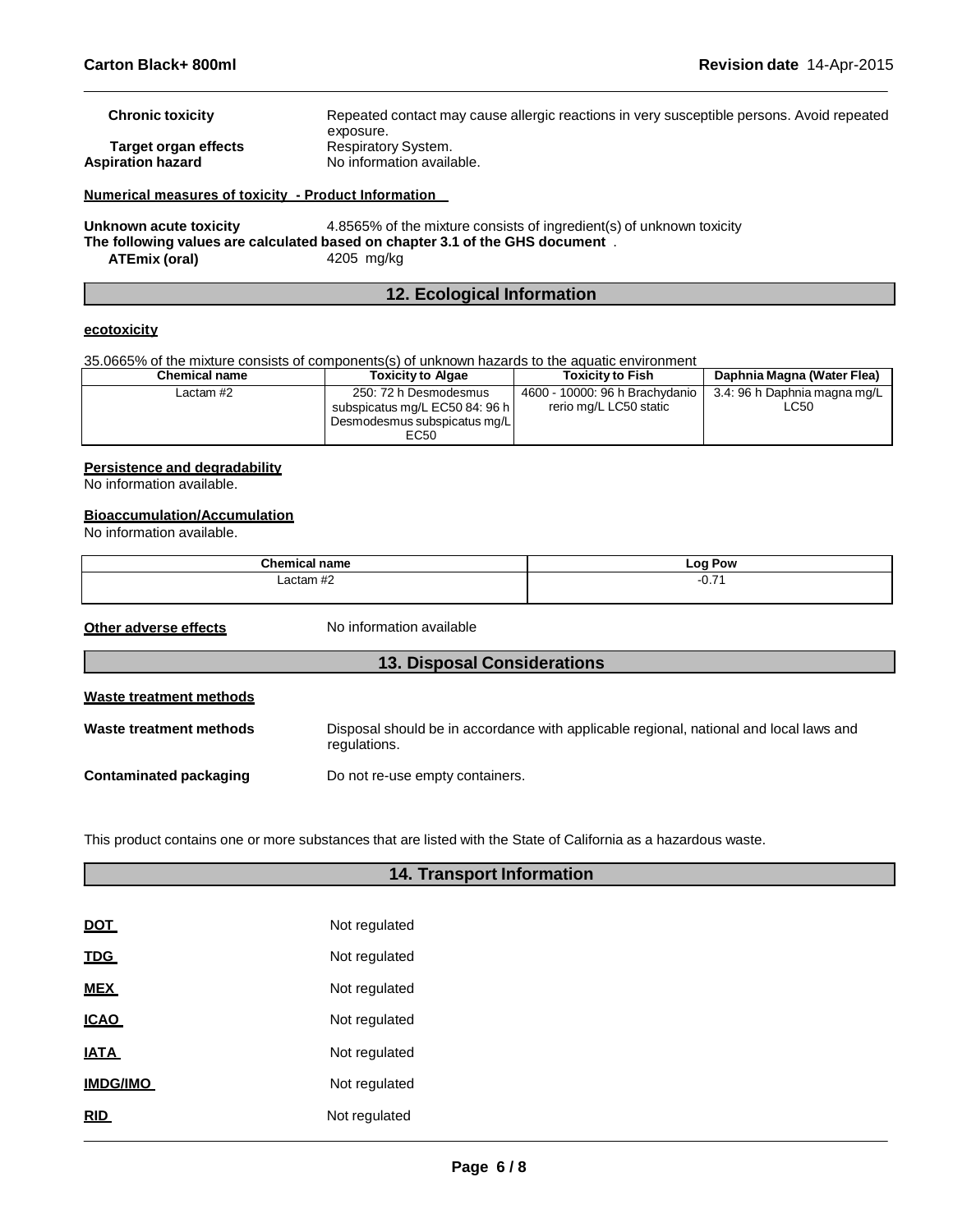| <b>Chronic toxicity</b> | Repeated contact may cause allergic reactions in very susceptible persons. Avoid repeated |
|-------------------------|-------------------------------------------------------------------------------------------|
| Target organ effects    | exposure.<br>Respiratory System.                                                          |
| Aspiration hazard       | No information available.                                                                 |
|                         |                                                                                           |

**Numerical measures of toxicity - Product Information** 

**Unknown acute toxicity** 4.8565% of the mixture consists of ingredient(s) of unknown toxicity **The following values are calculated based on chapter 3.1 of the GHS document** . **ATEmix (oral)** 4205 mg/kg

## **12. Ecological Information**

## **ecotoxicity**

35.0665% of the mixture consists of components(s) of unknown hazards to the aquatic environment

| Chemical name | <b>Toxicity to Algae</b>                                                                        | <b>Toxicity to Fish</b>                                  | Daphnia Magna (Water Flea)           |
|---------------|-------------------------------------------------------------------------------------------------|----------------------------------------------------------|--------------------------------------|
| Lactam #2     | 250: 72 h Desmodesmus<br>subspicatus mg/L EC50 84: 96 h<br>Desmodesmus subspicatus mg/L<br>EC50 | 4600 - 10000: 96 h Brachydanio<br>rerio mg/L LC50 static | 3.4: 96 h Daphnia magna mg/L<br>LC50 |

### **Persistence and degradability**

No information available.

## **Bioaccumulation/Accumulation**

No information available.

| $\sim$<br>.              | . or<br>Pow<br>_<br>-- - |  |  |
|--------------------------|--------------------------|--|--|
| $\overline{\phantom{a}}$ | $-$<br>ו ו ט־            |  |  |
|                          |                          |  |  |

**Other adverse effects** No information available

| <b>13. Disposal Considerations</b> |                                                                                                        |  |  |  |
|------------------------------------|--------------------------------------------------------------------------------------------------------|--|--|--|
| <b>Waste treatment methods</b>     |                                                                                                        |  |  |  |
| Waste treatment methods            | Disposal should be in accordance with applicable regional, national and local laws and<br>regulations. |  |  |  |
| Contaminated packaging             | Do not re-use empty containers.                                                                        |  |  |  |

This product contains one or more substances that are listed with the State of California as a hazardous waste.

| <b>14. Transport Information</b> |               |  |  |
|----------------------------------|---------------|--|--|
|                                  |               |  |  |
| <b>DOT</b>                       | Not regulated |  |  |
| <b>TDG</b>                       | Not regulated |  |  |
| <b>MEX</b>                       | Not regulated |  |  |
| <b>ICAO</b>                      | Not regulated |  |  |
| <b>IATA</b>                      | Not regulated |  |  |
| <b>IMDG/IMO</b>                  | Not regulated |  |  |
| <b>RID</b>                       | Not regulated |  |  |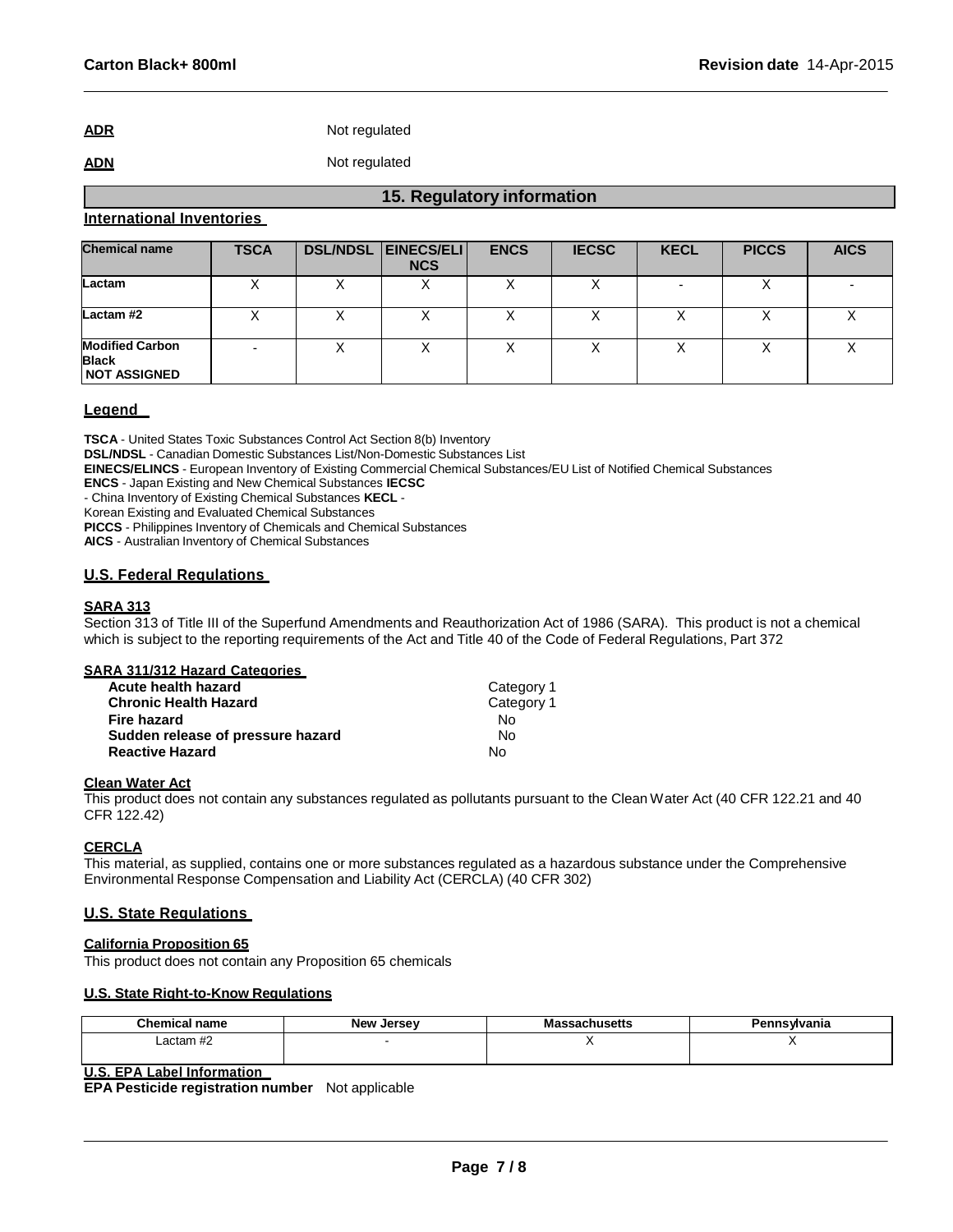**ADR** Not regulated

## **ADN** Not regulated

## **International Inventories**

| <b>Chemical name</b>                                          | <b>TSCA</b> | <b>DSL/NDSL EINECS/ELI</b><br><b>NCS</b> | <b>ENCS</b> | <b>IECSC</b> | <b>KECL</b> | <b>PICCS</b> | <b>AICS</b> |
|---------------------------------------------------------------|-------------|------------------------------------------|-------------|--------------|-------------|--------------|-------------|
| Lactam                                                        |             | $\lambda$                                |             |              |             |              |             |
| Lactam#2                                                      |             |                                          |             |              |             |              |             |
| <b>Modified Carbon</b><br><b>Black</b><br><b>NOT ASSIGNED</b> |             |                                          |             |              |             |              |             |

**15. Regulatory information**

## **Legend**

**TSCA** - United States Toxic Substances Control Act Section 8(b) Inventory

**DSL/NDSL** - Canadian Domestic Substances List/Non-Domestic Substances List

**EINECS/ELINCS** - European Inventory of Existing Commercial Chemical Substances/EU List of Notified Chemical Substances

**ENCS** - Japan Existing and New Chemical Substances **IECSC**

- China Inventory of Existing Chemical Substances **KECL** -

Korean Existing and Evaluated Chemical Substances

**PICCS** - Philippines Inventory of Chemicals and Chemical Substances

**AICS** - Australian Inventory of Chemical Substances

## **U.S. Federal Regulations**

## **SARA 313**

Section 313 of Title III of the Superfund Amendments and Reauthorization Act of 1986 (SARA). This product is not a chemical which is subject to the reporting requirements of the Act and Title 40 of the Code of Federal Regulations, Part 372

#### **SARA 311/312 Hazard Categories**

| Acute health hazard               | Category 1 |
|-----------------------------------|------------|
| <b>Chronic Health Hazard</b>      | Category 1 |
| Fire hazard                       | N٥         |
| Sudden release of pressure hazard | Nο         |
| <b>Reactive Hazard</b>            | N٥         |

## **Clean Water Act**

This product does not contain any substances regulated as pollutants pursuant to the Clean Water Act (40 CFR 122.21 and 40 CFR 122.42)

## **CERCLA**

This material, as supplied, contains one or more substances regulated as a hazardous substance under the Comprehensive Environmental Response Compensation and Liability Act (CERCLA) (40 CFR 302)

## **U.S. State Regulations**

## **California Proposition 65**

This product does not contain any Proposition 65 chemicals

## **U.S. State Right-to-Know Regulations**

| Chemical name      | <b>New</b><br>Jersev | ≎husetts<br>шо<br>__ | Pennsylvania |
|--------------------|----------------------|----------------------|--------------|
| $\mu$<br>Lactam #2 |                      |                      | . .          |
|                    |                      |                      |              |

## **U.S. EPA Label Information**

**EPA Pesticide registration number** Not applicable